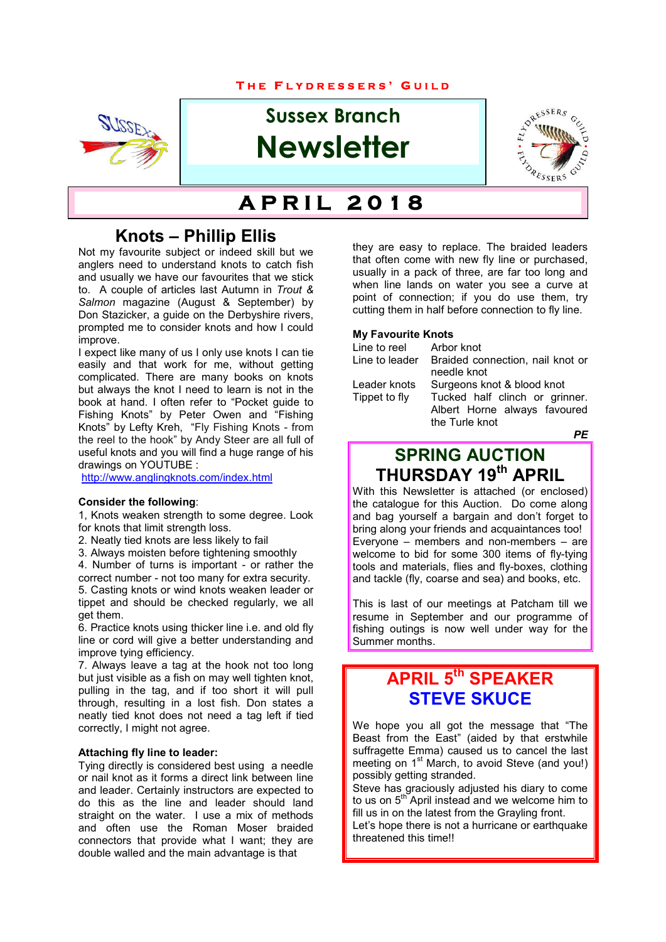#### **T H E F L Y D R E S S E R S ' G U I L D**



# **Sussex Branch Newsletter**



# $\overline{APRIL}$  2018

# **Knots – Phillip Ellis**

Not my favourite subject or indeed skill but we anglers need to understand knots to catch fish and usually we have our favourites that we stick to. A couple of articles last Autumn in *Trout & Salmon* magazine (August & September) by Don Stazicker, a guide on the Derbyshire rivers, prompted me to consider knots and how I could improve.

I expect like many of us I only use knots I can tie easily and that work for me, without getting complicated. There are many books on knots but always the knot I need to learn is not in the book at hand. I often refer to "Pocket guide to Fishing Knots" by Peter Owen and "Fishing Knots" by Lefty Kreh, "Fly Fishing Knots - from the reel to the hook" by Andy Steer are all full of useful knots and you will find a huge range of his drawings on YOUTUBE :

http://www.anglingknots.com/index.html

#### **Consider the following**:

1, Knots weaken strength to some degree. Look for knots that limit strength loss.

2. Neatly tied knots are less likely to fail

3. Always moisten before tightening smoothly

4. Number of turns is important - or rather the correct number - not too many for extra security. 5. Casting knots or wind knots weaken leader or

tippet and should be checked regularly, we all get them.

6. Practice knots using thicker line i.e. and old fly line or cord will give a better understanding and improve tying efficiency.

7. Always leave a tag at the hook not too long but just visible as a fish on may well tighten knot, pulling in the tag, and if too short it will pull through, resulting in a lost fish. Don states a neatly tied knot does not need a tag left if tied correctly, I might not agree.

#### **Attaching fly line to leader:**

Tying directly is considered best using a needle or nail knot as it forms a direct link between line and leader. Certainly instructors are expected to do this as the line and leader should land straight on the water. I use a mix of methods and often use the Roman Moser braided connectors that provide what I want; they are double walled and the main advantage is that

they are easy to replace. The braided leaders that often come with new fly line or purchased, usually in a pack of three, are far too long and when line lands on water you see a curve at point of connection; if you do use them, try cutting them in half before connection to fly line.

#### **My Favourite Knots**

| Line to reel   | Arbor knot                       |
|----------------|----------------------------------|
| Line to leader | Braided connection, nail knot or |
|                | needle knot                      |
| Leader knots   | Surgeons knot & blood knot       |
| Tippet to fly  | Tucked half clinch or grinner.   |
|                | Albert Horne always favoured     |
|                | the Turle knot                   |
|                |                                  |

*PE*

# **SPRING AUCTION THURSDAY 19th APRIL**

With this Newsletter is attached (or enclosed) the catalogue for this Auction. Do come along and bag yourself a bargain and don't forget to bring along your friends and acquaintances too! Everyone – members and non-members – are welcome to bid for some 300 items of fly-tying tools and materials, flies and fly-boxes, clothing and tackle (fly, coarse and sea) and books, etc.

This is last of our meetings at Patcham till we resume in September and our programme of fishing outings is now well under way for the Summer months.

# **APRIL 5th SPEAKER STEVE SKUCE**

We hope you all got the message that "The Beast from the East" (aided by that erstwhile suffragette Emma) caused us to cancel the last meeting on 1<sup>st</sup> March, to avoid Steve (and you!) possibly getting stranded.

Steve has graciously adjusted his diary to come to us on  $5<sup>th</sup>$  April instead and we welcome him to fill us in on the latest from the Grayling front. Let's hope there is not a hurricane or earthquake threatened this time!!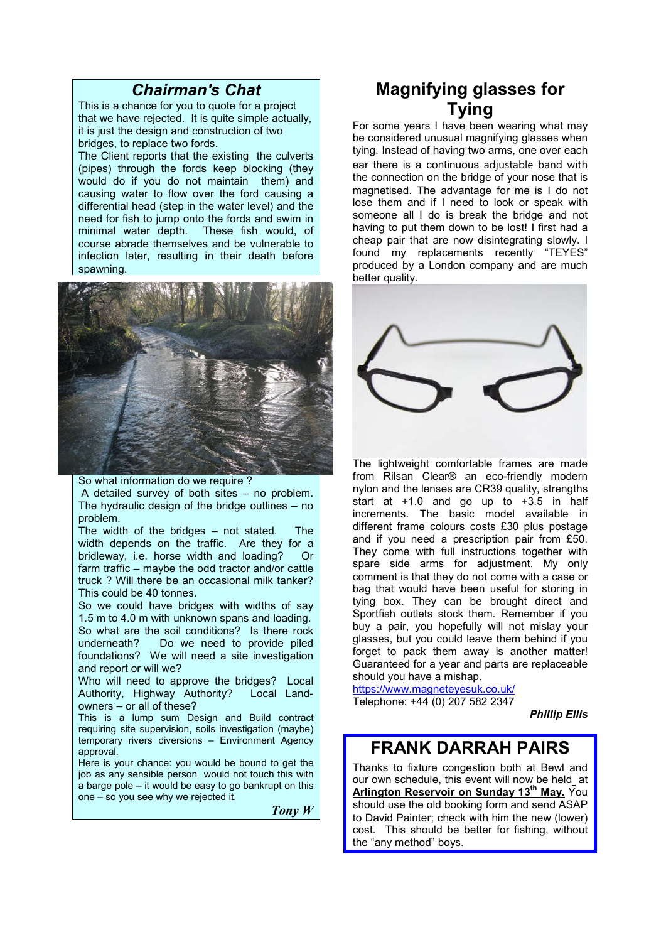### *Chairman's Chat*

This is a chance for you to quote for a project that we have rejected. It is quite simple actually, it is just the design and construction of two bridges, to replace two fords.

The Client reports that the existing the culverts (pipes) through the fords keep blocking (they would do if you do not maintain them) and causing water to flow over the ford causing a differential head (step in the water level) and the need for fish to jump onto the fords and swim in<br>minimal water depth. These fish would, of These fish would, of course abrade themselves and be vulnerable to infection later, resulting in their death before spawning.



So what information do we require ? A detailed survey of both sites – no problem. The hydraulic design of the bridge outlines – no problem.

The width of the bridges – not stated. The width depends on the traffic. Are they for a bridleway, i.e. horse width and loading? Or bridleway, i.e. horse width and loading? farm traffic – maybe the odd tractor and/or cattle truck ? Will there be an occasional milk tanker? This could be 40 tonnes.

So we could have bridges with widths of say 1.5 m to 4.0 m with unknown spans and loading. So what are the soil conditions? Is there rock underneath? Do we need to provide piled foundations? We will need a site investigation and report or will we?

Who will need to approve the bridges? Local Authority, Highway Authority? Local Landowners – or all of these?

This is a lump sum Design and Build contract requiring site supervision, soils investigation (maybe) temporary rivers diversions – Environment Agency approval.

Here is your chance: you would be bound to get the job as any sensible person would not touch this with a barge pole – it would be easy to go bankrupt on this one – so you see why we rejected it.

*Tony W*

# **Magnifying glasses for Tying**

For some years I have been wearing what may be considered unusual magnifying glasses when tying. Instead of having two arms, one over each ear there is a continuous adjustable band with the connection on the bridge of your nose that is magnetised. The advantage for me is I do not lose them and if I need to look or speak with someone all I do is break the bridge and not having to put them down to be lost! I first had a cheap pair that are now disintegrating slowly. I found my replacements recently "TEYES" produced by a London company and are much better quality.



The lightweight comfortable frames are made from Rilsan Clear® an eco-friendly modern nylon and the lenses are CR39 quality, strengths start at  $+1.0$  and go up to  $+3.5$  in half increments. The basic model available in different frame colours costs £30 plus postage and if you need a prescription pair from £50. They come with full instructions together with spare side arms for adjustment. My only comment is that they do not come with a case or bag that would have been useful for storing in tying box. They can be brought direct and Sportfish outlets stock them. Remember if you buy a pair, you hopefully will not mislay your glasses, but you could leave them behind if you forget to pack them away is another matter! Guaranteed for a year and parts are replaceable should you have a mishap.

https://www.magneteyesuk.co.uk/ Telephone: +44 (0) 207 582 2347

*Phillip Ellis*

## **FRANK DARRAH PAIRS**

Thanks to fixture congestion both at Bewl and our own schedule, this event will now be held at **Arlington Reservoir on Sunday 13th May.** You should use the old booking form and send ASAP to David Painter; check with him the new (lower) cost. This should be better for fishing, without the "any method" boys.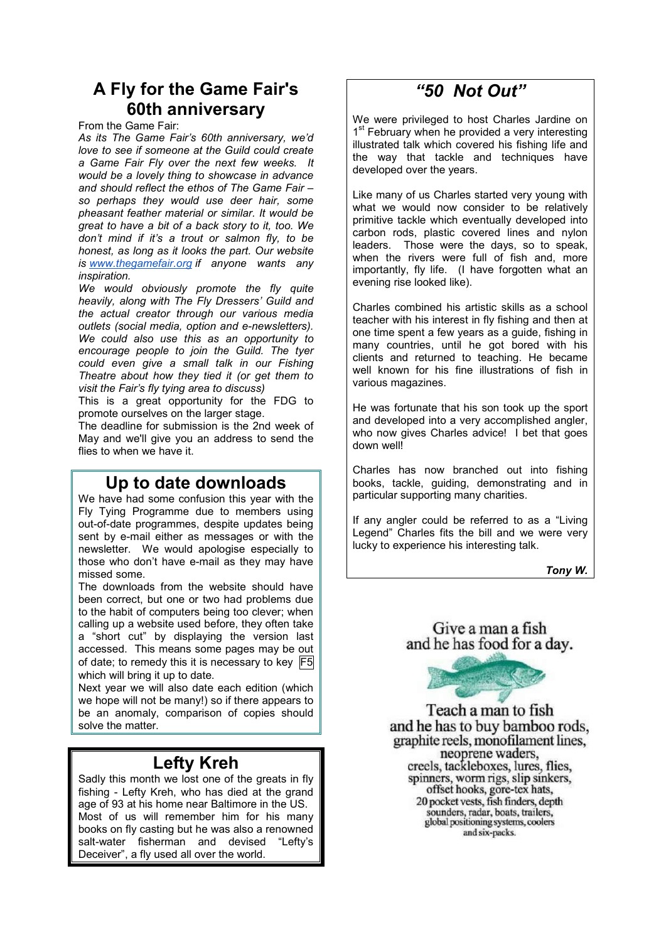# **A Fly for the Game Fair's 60th anniversary**

From the Game Fair:

*As its The Game Fair's 60th anniversary, we'd love to see if someone at the Guild could create a Game Fair Fly over the next few weeks. It would be a lovely thing to showcase in advance and should reflect the ethos of The Game Fair – so perhaps they would use deer hair, some pheasant feather material or similar. It would be great to have a bit of a back story to it, too. We don't mind if it's a trout or salmon fly, to be honest, as long as it looks the part. Our website is www.thegamefair.org if anyone wants any inspiration.*

*We would obviously promote the fly quite heavily, along with The Fly Dressers' Guild and the actual creator through our various media outlets (social media, option and e-newsletters). We could also use this as an opportunity to encourage people to join the Guild. The tyer could even give a small talk in our Fishing Theatre about how they tied it (or get them to visit the Fair's fly tying area to discuss)*

This is a great opportunity for the FDG to promote ourselves on the larger stage.

The deadline for submission is the 2nd week of May and we'll give you an address to send the flies to when we have it.

### **Up to date downloads**

We have had some confusion this year with the Fly Tying Programme due to members using out-of-date programmes, despite updates being sent by e-mail either as messages or with the newsletter. We would apologise especially to those who don't have e-mail as they may have missed some.

The downloads from the website should have been correct, but one or two had problems due to the habit of computers being too clever; when calling up a website used before, they often take a "short cut" by displaying the version last accessed. This means some pages may be out of date; to remedy this it is necessary to key F5 which will bring it up to date.

Next year we will also date each edition (which we hope will not be many!) so if there appears to be an anomaly, comparison of copies should solve the matter.

## **Lefty Kreh**

Sadly this month we lost one of the greats in fly fishing - Lefty Kreh, who has died at the grand age of 93 at his home near Baltimore in the US. Most of us will remember him for his many books on fly casting but he was also a renowned salt-water fisherman and devised "Lefty's Deceiver", a fly used all over the world.

# *"50 Not Out"*

We were privileged to host Charles Jardine on 1<sup>st</sup> February when he provided a very interesting illustrated talk which covered his fishing life and the way that tackle and techniques have developed over the years.

Like many of us Charles started very young with what we would now consider to be relatively primitive tackle which eventually developed into carbon rods, plastic covered lines and nylon leaders. Those were the days, so to speak, when the rivers were full of fish and, more importantly, fly life. (I have forgotten what an evening rise looked like).

Charles combined his artistic skills as a school teacher with his interest in fly fishing and then at one time spent a few years as a guide, fishing in many countries, until he got bored with his clients and returned to teaching. He became well known for his fine illustrations of fish in various magazines.

He was fortunate that his son took up the sport and developed into a very accomplished angler, who now gives Charles advice! I bet that goes down well!

Charles has now branched out into fishing books, tackle, guiding, demonstrating and in particular supporting many charities.

If any angler could be referred to as a "Living Legend" Charles fits the bill and we were very lucky to experience his interesting talk.

*Tony W.*

Give a man a fish and he has food for a day.



Teach a man to fish and he has to buy bamboo rods, graphite reels, monofilament lines, neoprene waders. creels, tackleboxes, lures, flies, spinners, worm rigs, slip sinkers, offset hooks, gore-tex hats, 20 pocket vests, fish finders, depth sounders, radar, boats, trailers, global positioning systems, coolers and six-packs.